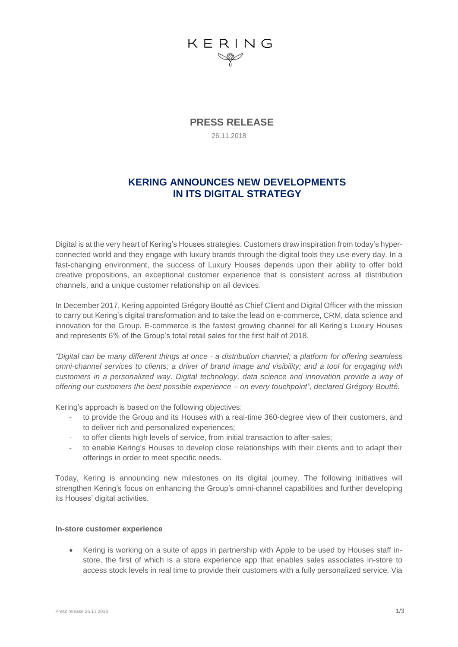

**PRESS RELEASE**

26.11.2018

# **KERING ANNOUNCES NEW DEVELOPMENTS IN ITS DIGITAL STRATEGY**

Digital is at the very heart of Kering's Houses strategies. Customers draw inspiration from today's hyperconnected world and they engage with luxury brands through the digital tools they use every day. In a fast-changing environment, the success of Luxury Houses depends upon their ability to offer bold creative propositions, an exceptional customer experience that is consistent across all distribution channels, and a unique customer relationship on all devices.

In December 2017, Kering appointed Grégory Boutté as Chief Client and Digital Officer with the mission to carry out Kering's digital transformation and to take the lead on e-commerce, CRM, data science and innovation for the Group. E-commerce is the fastest growing channel for all Kering's Luxury Houses and represents 6% of the Group's total retail sales for the first half of 2018.

*"Digital can be many different things at once - a distribution channel; a platform for offering seamless omni-channel services to clients; a driver of brand image and visibility; and a tool for engaging with customers in a personalized way. Digital technology, data science and innovation provide a way of offering our customers the best possible experience – on every touchpoint", declared Grégory Boutté.* 

Kering's approach is based on the following objectives:

- to provide the Group and its Houses with a real-time 360-degree view of their customers, and to deliver rich and personalized experiences;
- to offer clients high levels of service, from initial transaction to after-sales;
- to enable Kering's Houses to develop close relationships with their clients and to adapt their offerings in order to meet specific needs.

Today, Kering is announcing new milestones on its digital journey. The following initiatives will strengthen Kering's focus on enhancing the Group's omni-channel capabilities and further developing its Houses' digital activities.

### **In-store customer experience**

• Kering is working on a suite of apps in partnership with Apple to be used by Houses staff instore, the first of which is a store experience app that enables sales associates in-store to access stock levels in real time to provide their customers with a fully personalized service. Via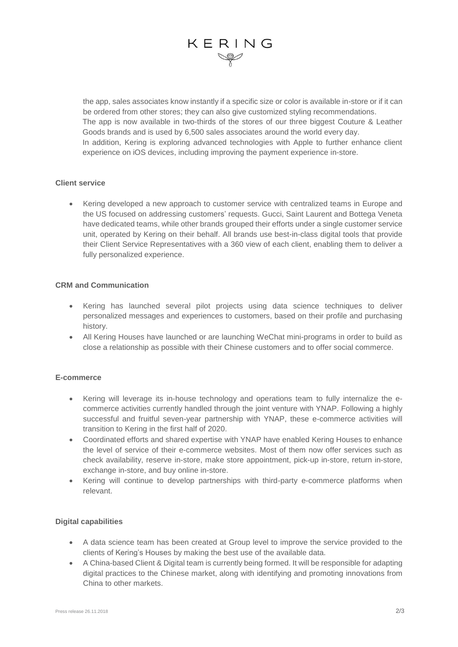

the app, sales associates know instantly if a specific size or color is available in-store or if it can be ordered from other stores; they can also give customized styling recommendations. The app is now available in two-thirds of the stores of our three biggest Couture & Leather Goods brands and is used by 6,500 sales associates around the world every day. In addition, Kering is exploring advanced technologies with Apple to further enhance client experience on iOS devices, including improving the payment experience in-store.

# **Client service**

• Kering developed a new approach to customer service with centralized teams in Europe and the US focused on addressing customers' requests. Gucci, Saint Laurent and Bottega Veneta have dedicated teams, while other brands grouped their efforts under a single customer service unit, operated by Kering on their behalf. All brands use best-in-class digital tools that provide their Client Service Representatives with a 360 view of each client, enabling them to deliver a fully personalized experience.

# **CRM and Communication**

- Kering has launched several pilot projects using data science techniques to deliver personalized messages and experiences to customers, based on their profile and purchasing history.
- All Kering Houses have launched or are launching WeChat mini-programs in order to build as close a relationship as possible with their Chinese customers and to offer social commerce.

# **E-commerce**

- Kering will leverage its in-house technology and operations team to fully internalize the ecommerce activities currently handled through the joint venture with YNAP. Following a highly successful and fruitful seven-year partnership with YNAP, these e-commerce activities will transition to Kering in the first half of 2020.
- Coordinated efforts and shared expertise with YNAP have enabled Kering Houses to enhance the level of service of their e-commerce websites. Most of them now offer services such as check availability, reserve in-store, make store appointment, pick-up in-store, return in-store, exchange in-store, and buy online in-store.
- Kering will continue to develop partnerships with third-party e-commerce platforms when relevant.

# **Digital capabilities**

- A data science team has been created at Group level to improve the service provided to the clients of Kering's Houses by making the best use of the available data.
- A China-based Client & Digital team is currently being formed. It will be responsible for adapting digital practices to the Chinese market, along with identifying and promoting innovations from China to other markets.